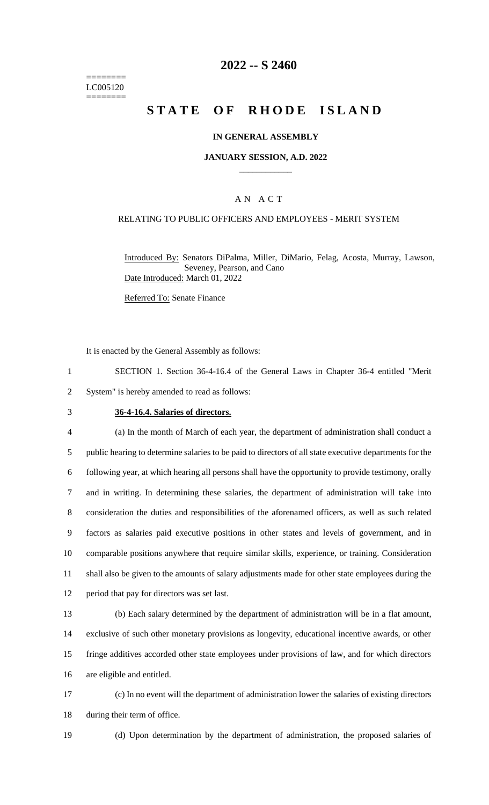======== LC005120 ========

## **2022 -- S 2460**

# **STATE OF RHODE ISLAND**

#### **IN GENERAL ASSEMBLY**

#### **JANUARY SESSION, A.D. 2022 \_\_\_\_\_\_\_\_\_\_\_\_**

#### A N A C T

#### RELATING TO PUBLIC OFFICERS AND EMPLOYEES - MERIT SYSTEM

Introduced By: Senators DiPalma, Miller, DiMario, Felag, Acosta, Murray, Lawson, Seveney, Pearson, and Cano Date Introduced: March 01, 2022

Referred To: Senate Finance

It is enacted by the General Assembly as follows:

- 1 SECTION 1. Section 36-4-16.4 of the General Laws in Chapter 36-4 entitled "Merit 2 System" is hereby amended to read as follows:
- 
- 

#### 3 **36-4-16.4. Salaries of directors.**

 (a) In the month of March of each year, the department of administration shall conduct a public hearing to determine salaries to be paid to directors of all state executive departments for the following year, at which hearing all persons shall have the opportunity to provide testimony, orally and in writing. In determining these salaries, the department of administration will take into consideration the duties and responsibilities of the aforenamed officers, as well as such related factors as salaries paid executive positions in other states and levels of government, and in comparable positions anywhere that require similar skills, experience, or training. Consideration shall also be given to the amounts of salary adjustments made for other state employees during the period that pay for directors was set last.

 (b) Each salary determined by the department of administration will be in a flat amount, exclusive of such other monetary provisions as longevity, educational incentive awards, or other fringe additives accorded other state employees under provisions of law, and for which directors are eligible and entitled.

17 (c) In no event will the department of administration lower the salaries of existing directors 18 during their term of office.

19 (d) Upon determination by the department of administration, the proposed salaries of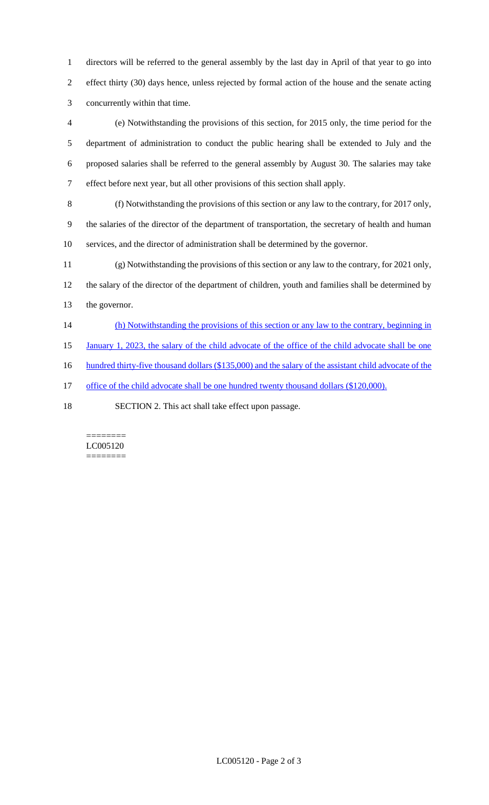directors will be referred to the general assembly by the last day in April of that year to go into effect thirty (30) days hence, unless rejected by formal action of the house and the senate acting concurrently within that time.

 (e) Notwithstanding the provisions of this section, for 2015 only, the time period for the department of administration to conduct the public hearing shall be extended to July and the proposed salaries shall be referred to the general assembly by August 30. The salaries may take effect before next year, but all other provisions of this section shall apply.

 (f) Notwithstanding the provisions of this section or any law to the contrary, for 2017 only, the salaries of the director of the department of transportation, the secretary of health and human services, and the director of administration shall be determined by the governor.

 (g) Notwithstanding the provisions of this section or any law to the contrary, for 2021 only, the salary of the director of the department of children, youth and families shall be determined by the governor.

14 (h) Notwithstanding the provisions of this section or any law to the contrary, beginning in

15 January 1, 2023, the salary of the child advocate of the office of the child advocate shall be one

16 hundred thirty-five thousand dollars (\$135,000) and the salary of the assistant child advocate of the

17 office of the child advocate shall be one hundred twenty thousand dollars (\$120,000).

SECTION 2. This act shall take effect upon passage.

======== LC005120 ========